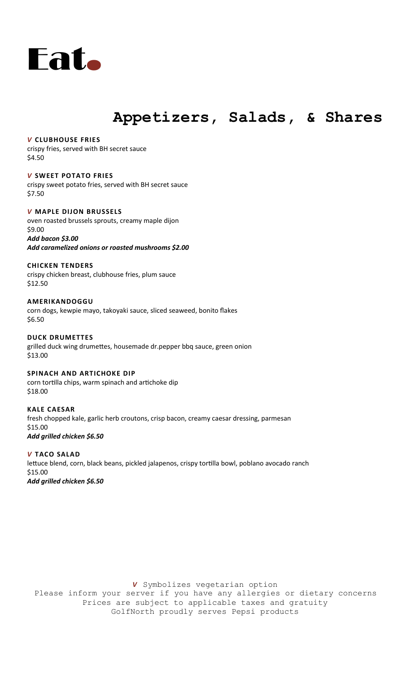

## **Appetizers, Salads, & Shares**

#### *V* **CLUBHOUSE FRIES**

crispy fries, served with BH secret sauce \$4.50

## *V* **SWEET POTATO FRIES**

crispy sweet potato fries, served with BH secret sauce \$7.50

#### *V* **MAPLE DIJON BRUSSELS** oven roasted brussels sprouts, creamy maple dijon

\$9.00 *Add bacon \$3.00 Add caramelized onions or roasted mushrooms \$2.00*

## **CHICKEN TENDERS**

crispy chicken breast, clubhouse fries, plum sauce \$12.50

## **AMERIKANDOGGU**

corn dogs, kewpie mayo, takoyaki sauce, sliced seaweed, bonito flakes \$6.50

#### **DUCK DRUMETTES** grilled duck wing drumettes, housemade dr.pepper bbq sauce, green onion \$13.00

**SPINACH AND ARTICHOKE DIP**  corn tortilla chips, warm spinach and artichoke dip \$18.00

## **KALE CAESAR**  fresh chopped kale, garlic herb croutons, crisp bacon, creamy caesar dressing, parmesan \$15.00 *Add grilled chicken \$6.50*

*V* **TACO SALAD**  lettuce blend, corn, black beans, pickled jalapenos, crispy tortilla bowl, poblano avocado ranch \$15.00 *Add grilled chicken \$6.50*

*V* Symbolizes vegetarian option Please inform your server if you have any allergies or dietary concerns Prices are subject to applicable taxes and gratuity GolfNorth proudly serves Pepsi products